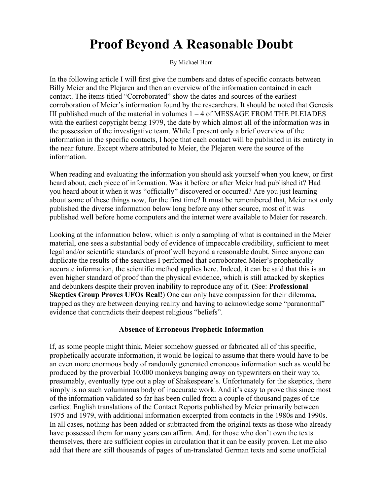# Proof Beyond A Reasonable Doubt

By Michael Horn

In the following article I will first give the numbers and dates of specific contacts between Billy Meier and the Plejaren and then an overview of the information contained in each contact. The items titled "Corroborated" show the dates and sources of the earliest corroboration of Meier's information found by the researchers. It should be noted that Genesis III published much of the material in volumes  $1 - 4$  of MESSAGE FROM THE PLEIADES with the earliest copyright being 1979, the date by which almost all of the information was in the possession of the investigative team. While I present only a brief overview of the information in the specific contacts, I hope that each contact will be published in its entirety in the near future. Except where attributed to Meier, the Plejaren were the source of the information.

When reading and evaluating the information you should ask yourself when you knew, or first heard about, each piece of information. Was it before or after Meier had published it? Had you heard about it when it was "officially" discovered or occurred? Are you just learning about some of these things now, for the first time? It must be remembered that, Meier not only published the diverse information below long before any other source, most of it was published well before home computers and the internet were available to Meier for research.

Looking at the information below, which is only a sampling of what is contained in the Meier material, one sees a substantial body of evidence of impeccable credibility, sufficient to meet legal and/or scientific standards of proof well beyond a reasonable doubt. Since anyone can duplicate the results of the searches I performed that corroborated Meier's prophetically accurate information, the scientific method applies here. Indeed, it can be said that this is an even higher standard of proof than the physical evidence, which is still attacked by skeptics and debunkers despite their proven inability to reproduce any of it. (See: Professional Skeptics Group Proves UFOs Real!) One can only have compassion for their dilemma, trapped as they are between denying reality and having to acknowledge some "paranormal" evidence that contradicts their deepest religious "beliefs".

#### Absence of Erroneous Prophetic Information

If, as some people might think, Meier somehow guessed or fabricated all of this specific, prophetically accurate information, it would be logical to assume that there would have to be an even more enormous body of randomly generated erroneous information such as would be produced by the proverbial 10,000 monkeys banging away on typewriters on their way to, presumably, eventually type out a play of Shakespeare's. Unfortunately for the skeptics, there simply is no such voluminous body of inaccurate work. And it's easy to prove this since most of the information validated so far has been culled from a couple of thousand pages of the earliest English translations of the Contact Reports published by Meier primarily between 1975 and 1979, with additional information excerpted from contacts in the 1980s and 1990s. In all cases, nothing has been added or subtracted from the original texts as those who already have possessed them for many years can affirm. And, for those who don't own the texts themselves, there are sufficient copies in circulation that it can be easily proven. Let me also add that there are still thousands of pages of un-translated German texts and some unofficial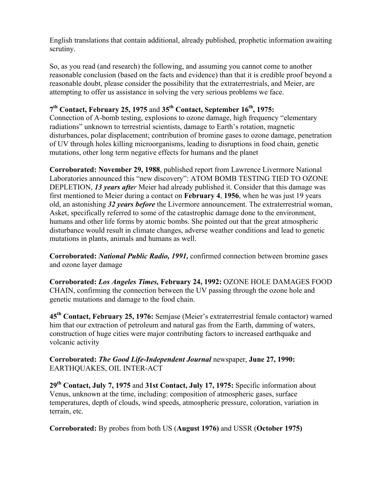English translations that contain additional, already published, prophetic information awaiting scrutiny.

So, as you read (and research) the following, and assuming you cannot come to another reasonable conclusion (based on the facts and evidence) than that it is credible proof beyond a reasonable doubt, please consider the possibility that the extraterrestrials, and Meier, are attempting to offer us assistance in solving the very serious problems we face.

## $7<sup>th</sup>$  Contact, February 25, 1975 and 35<sup>th</sup> Contact, September 16<sup>th</sup>, 1975:

Connection of A-bomb testing, explosions to ozone damage, high frequency "elementary radiations" unknown to terrestrial scientists, damage to Earth's rotation, magnetic disturbances, polar displacement; contribution of bromine gases to ozone damage, penetration of UV through holes killing microorganisms, leading to disruptions in food chain, genetic mutations, other long term negative effects for humans and the planet

Corroborated: November 29, 1988, published report from Lawrence Livermore National Laboratories announced this "new discovery": ATOM BOMB TESTING TIED TO OZONE DEPLETION, *13 years after* Meier had already published it. Consider that this damage was first mentioned to Meier during a contact on February 4, 1956, when he was just 19 years old, an astonishing *32 years before* the Livermore announcement. The extraterrestrial woman, Asket, specifically referred to some of the catastrophic damage done to the environment, humans and other life forms by atomic bombs. She pointed out that the great atmospheric disturbance would result in climate changes, adverse weather conditions and lead to genetic mutations in plants, animals and humans as well.

Corroborated: *National Public Radio, 1991,* confirmed connection between bromine gases and ozone layer damage

Corroborated: *Los Angeles Times,* February 24, 1992: OZONE HOLE DAMAGES FOOD CHAIN, confirming the connection between the UV passing through the ozone hole and genetic mutations and damage to the food chain.

45<sup>th</sup> Contact, February 25, 1976: Semjase (Meier's extraterrestrial female contactor) warned him that our extraction of petroleum and natural gas from the Earth, damming of waters, construction of huge cities were major contributing factors to increased earthquake and volcanic activity

Corroborated: *The Good Life-Independent Journal* newspaper, June 27, 1990: EARTHQUAKES, OIL INTER-ACT

 $29<sup>th</sup>$  Contact, July 7, 1975 and 31st Contact, July 17, 1975: Specific information about Venus, unknown at the time, including: composition of atmospheric gases, surface temperatures, depth of clouds, wind speeds, atmospheric pressure, coloration, variation in terrain, etc.

Corroborated: By probes from both US (August 1976) and USSR (October 1975)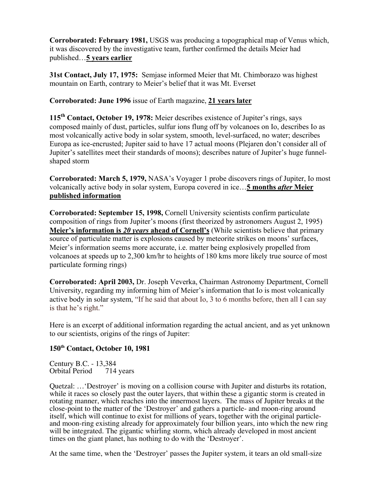Corroborated: February 1981, USGS was producing a topographical map of Venus which, it was discovered by the investigative team, further confirmed the details Meier had published…5 years earlier

31st Contact, July 17, 1975: Semjase informed Meier that Mt. Chimborazo was highest mountain on Earth, contrary to Meier's belief that it was Mt. Everset

Corroborated: June 1996 issue of Earth magazine, 21 years later

115<sup>th</sup> Contact, October 19, 1978: Meier describes existence of Jupiter's rings, says composed mainly of dust, particles, sulfur ions flung off by volcanoes on Io, describes Io as most volcanically active body in solar system, smooth, level-surfaced, no water; describes Europa as ice-encrusted; Jupiter said to have 17 actual moons (Plejaren don't consider all of Jupiter's satellites meet their standards of moons); describes nature of Jupiter's huge funnelshaped storm

Corroborated: March 5, 1979, NASA's Voyager 1 probe discovers rings of Jupiter, Io most volcanically active body in solar system, Europa covered in ice…5 months *after* Meier published information

Corroborated: September 15, 1998, Cornell University scientists confirm particulate composition of rings from Jupiter's moons (first theorized by astronomers August 2, 1995) Meier's information is 20 *years* ahead of Cornell's (While scientists believe that primary source of particulate matter is explosions caused by meteorite strikes on moons' surfaces, Meier's information seems more accurate, i.e. matter being explosively propelled from volcanoes at speeds up to 2,300 km/hr to heights of 180 kms more likely true source of most particulate forming rings)

Corroborated: April 2003, Dr. Joseph Veverka, Chairman Astronomy Department, Cornell University, regarding my informing him of Meier's information that Io is most volcanically active body in solar system, "If he said that about Io, 3 to 6 months before, then all I can say is that he's right."

Here is an excerpt of additional information regarding the actual ancient, and as yet unknown to our scientists, origins of the rings of Jupiter:

### **150th Contact, October 10, 1981**

Century B.C. - 13,384<br>Orbital Period 714 years Orbital Period

Quetzal: …'Destroyer' is moving on a collision course with Jupiter and disturbs its rotation, while it races so closely past the outer layers, that within these a gigantic storm is created in rotating manner, which reaches into the innermost layers. The mass of Jupiter breaks at the close-point to the matter of the 'Destroyer' and gathers a particle- and moon-ring around itself, which will continue to exist for millions of years, together with the original particleand moon-ring existing already for approximately four billion years, into which the new ring will be integrated. The gigantic whirling storm, which already developed in most ancient times on the giant planet, has nothing to do with the 'Destroyer'.

At the same time, when the 'Destroyer' passes the Jupiter system, it tears an old small-size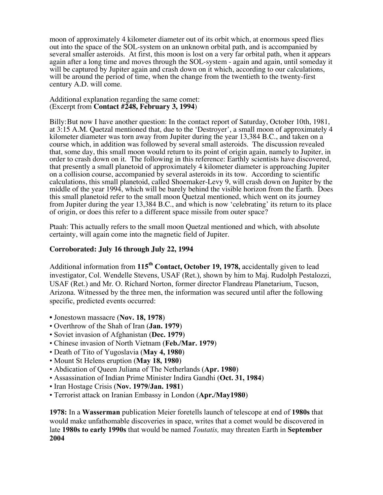moon of approximately 4 kilometer diameter out of its orbit which, at enormous speed flies out into the space of the SOL-system on an unknown orbital path, and is accompanied by several smaller asteroids. At first, this moon is lost on a very far orbital path, when it appears again after a long time and moves through the SOL-system - again and again, until someday it will be captured by Jupiter again and crash down on it which, according to our calculations, will be around the period of time, when the change from the twentieth to the twenty-first century A.D. will come.

#### Additional explanation regarding the same comet: (Excerpt from **Contact #248, February 3, 1994**)

Billy:But now I have another question: In the contact report of Saturday, October 10th, 1981, at 3:15 A.M. Quetzal mentioned that, due to the 'Destroyer', a small moon of approximately 4 kilometer diameter was torn away from Jupiter during the year 13,384 B.C., and taken on a course which, in addition was followed by several small asteroids. The discussion revealed that, some day, this small moon would return to its point of origin again, namely to Jupiter, in order to crash down on it. The following in this reference: Earthly scientists have discovered, that presently a small planetoid of approximately 4 kilometer diameter is approaching Jupiter on a collision course, accompanied by several asteroids in its tow. According to scientific calculations, this small planetoid, called Shoemaker-Levy 9, will crash down on Jupiter by the middle of the year 1994, which will be barely behind the visible horizon from the Earth. Does this small planetoid refer to the small moon Quetzal mentioned, which went on its journey from Jupiter during the year 13,384 B.C., and which is now 'celebrating' its return to its place of origin, or does this refer to a different space missile from outer space?

Ptaah: This actually refers to the small moon Quetzal mentioned and which, with absolute certainty, will again come into the magnetic field of Jupiter.

#### **Corroborated: July 16 through July 22, 1994**

Additional information from  $115<sup>th</sup>$  Contact, October 19, 1978, accidentally given to lead investigator, Col. Wendelle Stevens, USAF (Ret.), shown by him to Maj. Rudolph Pestalozzi, USAF (Ret.) and Mr. O. Richard Norton, former director Flandreau Planetarium, Tucson, Arizona. Witnessed by the three men, the information was secured until after the following specific, predicted events occurred:

- Jonestown massacre (Nov. 18, 1978)
- Overthrow of the Shah of Iran (Jan. 1979)
- Soviet invasion of Afghanistan (Dec. 1979)
- Chinese invasion of North Vietnam (Feb./Mar. 1979)
- Death of Tito of Yugoslavia (May 4, 1980)
- Mount St Helens eruption (May 18, 1980)
- Abdication of Queen Juliana of The Netherlands (Apr. 1980)
- Assassination of Indian Prime Minister Indira Gandhi (Oct. 31, 1984)
- Iran Hostage Crisis (Nov. 1979/Jan. 1981)
- Terrorist attack on Iranian Embassy in London (Apr./May1980)

1978: In a Wasserman publication Meier foretells launch of telescope at end of 1980s that would make unfathomable discoveries in space, writes that a comet would be discovered in late 1980s to early 1990s that would be named *Toutatis,* may threaten Earth in September 2004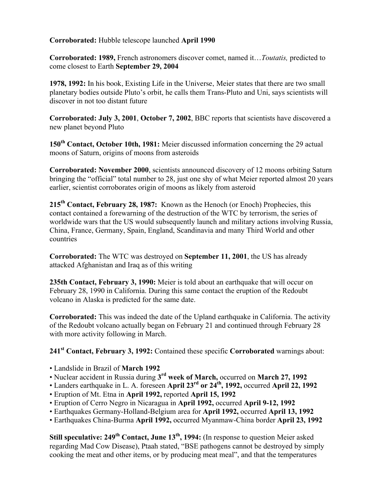Corroborated: Hubble telescope launched April 1990

Corroborated: 1989, French astronomers discover comet, named it…*Toutatis,* predicted to come closest to Earth September 29, 2004

1978, 1992: In his book, Existing Life in the Universe, Meier states that there are two small planetary bodies outside Pluto's orbit, he calls them Trans-Pluto and Uni, says scientists will discover in not too distant future

Corroborated: July 3, 2001, October 7, 2002, BBC reports that scientists have discovered a new planet beyond Pluto

 $150<sup>th</sup>$  Contact, October 10th, 1981: Meier discussed information concerning the 29 actual moons of Saturn, origins of moons from asteroids

Corroborated: November 2000, scientists announced discovery of 12 moons orbiting Saturn bringing the "official" total number to 28, just one shy of what Meier reported almost 20 years earlier, scientist corroborates origin of moons as likely from asteroid

215<sup>th</sup> Contact, February 28, 1987: Known as the Henoch (or Enoch) Prophecies, this contact contained a forewarning of the destruction of the WTC by terrorism, the series of worldwide wars that the US would subsequently launch and military actions involving Russia, China, France, Germany, Spain, England, Scandinavia and many Third World and other countries

Corroborated: The WTC was destroyed on September 11, 2001, the US has already attacked Afghanistan and Iraq as of this writing

235th Contact, February 3, 1990: Meier is told about an earthquake that will occur on February 28, 1990 in California. During this same contact the eruption of the Redoubt volcano in Alaska is predicted for the same date.

Corroborated: This was indeed the date of the Upland earthquake in California. The activity of the Redoubt volcano actually began on February 21 and continued through February 28 with more activity following in March.

241<sup>st</sup> Contact, February 3, 1992: Contained these specific Corroborated warnings about:

- Landslide in Brazil of March 1992
- Nuclear accident in Russia during 3<sup>rd</sup> week of March, occurred on March 27, 1992
- Landers earthquake in L. A. foreseen April  $23^{rd}$  or  $24^{th}$ , 1992, occurred April 22, 1992
- Eruption of Mt. Etna in April 1992, reported April 15, 1992
- Eruption of Cerro Negro in Nicaragua in April 1992, occurred April 9-12, 1992
- Earthquakes Germany-Holland-Belgium area for April 1992, occurred April 13, 1992
- Earthquakes China-Burma April 1992, occurred Myanmaw-China border April 23, 1992

Still speculative: 249<sup>th</sup> Contact, June 13<sup>th</sup>, 1994: (In response to question Meier asked regarding Mad Cow Disease), Ptaah stated, "BSE pathogens cannot be destroyed by simply cooking the meat and other items, or by producing meat meal", and that the temperatures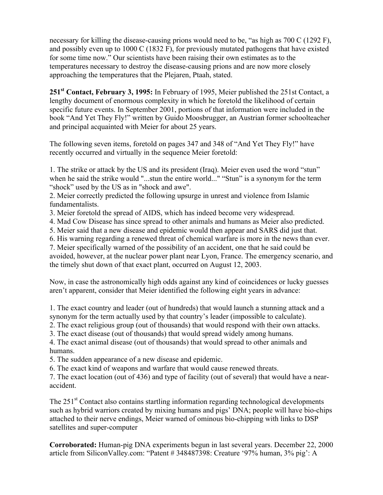necessary for killing the disease-causing prions would need to be, "as high as 700 C (1292 F), and possibly even up to 1000 C (1832 F), for previously mutated pathogens that have existed for some time now." Our scientists have been raising their own estimates as to the temperatures necessary to destroy the disease-causing prions and are now more closely approaching the temperatures that the Plejaren, Ptaah, stated.

251st Contact, February 3, 1995: In February of 1995, Meier published the 251st Contact, a lengthy document of enormous complexity in which he foretold the likelihood of certain specific future events. In September 2001, portions of that information were included in the book "And Yet They Fly!" written by Guido Moosbrugger, an Austrian former schoolteacher and principal acquainted with Meier for about 25 years.

The following seven items, foretold on pages 347 and 348 of "And Yet They Fly!" have recently occurred and virtually in the sequence Meier foretold:

1. The strike or attack by the US and its president (Iraq). Meier even used the word "stun" when he said the strike would "...stun the entire world..." "Stun" is a synonym for the term "shock" used by the US as in "shock and awe".

2. Meier correctly predicted the following upsurge in unrest and violence from Islamic fundamentalists.

3. Meier foretold the spread of AIDS, which has indeed become very widespread.

4. Mad Cow Disease has since spread to other animals and humans as Meier also predicted.

5. Meier said that a new disease and epidemic would then appear and SARS did just that.

6. His warning regarding a renewed threat of chemical warfare is more in the news than ever.

7. Meier specifically warned of the possibility of an accident, one that he said could be avoided, however, at the nuclear power plant near Lyon, France. The emergency scenario, and the timely shut down of that exact plant, occurred on August 12, 2003.

Now, in case the astronomically high odds against any kind of coincidences or lucky guesses aren't apparent, consider that Meier identified the following eight years in advance:

1. The exact country and leader (out of hundreds) that would launch a stunning attack and a synonym for the term actually used by that country's leader (impossible to calculate).

2. The exact religious group (out of thousands) that would respond with their own attacks.

3. The exact disease (out of thousands) that would spread widely among humans.

4. The exact animal disease (out of thousands) that would spread to other animals and humans.

5. The sudden appearance of a new disease and epidemic.

6. The exact kind of weapons and warfare that would cause renewed threats.

7. The exact location (out of 436) and type of facility (out of several) that would have a nearaccident.

The  $251<sup>st</sup>$  Contact also contains startling information regarding technological developments such as hybrid warriors created by mixing humans and pigs' DNA; people will have bio-chips attached to their nerve endings, Meier warned of ominous bio-chipping with links to DSP satellites and super-computer

Corroborated: Human-pig DNA experiments begun in last several years. December 22, 2000 article from SiliconValley.com: "Patent # 348487398: Creature '97% human, 3% pig': A